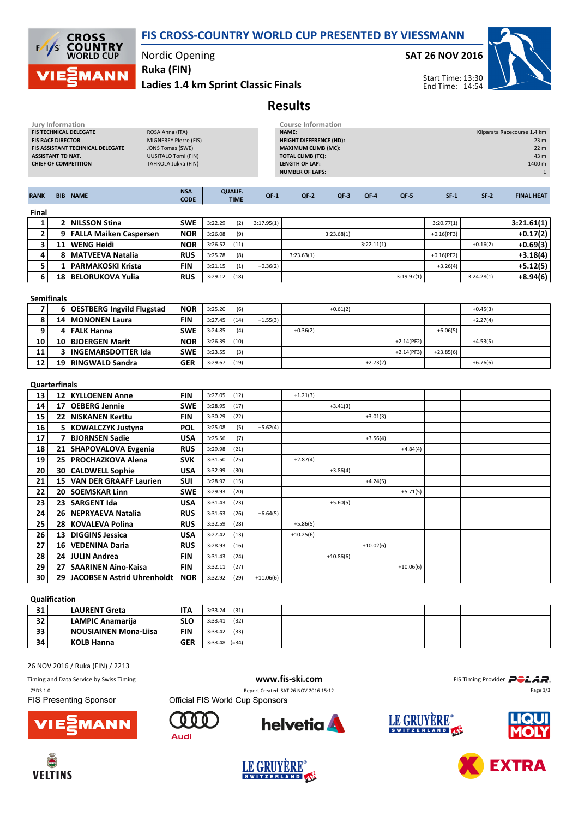



## Nordic Opening

Ruka (FIN)

Ladies 1.4 km Sprint Classic Finals

### SAT 26 NOV 2016



Start Time: 13:30 End Time: 14:54

# Results

| <b>Jury Information</b><br>FIS TECHNICAL DELEGATE<br><b>FIS RACE DIRECTOR</b><br>FIS ASSISTANT TECHNICAL DELEGATE<br><b>ASSISTANT TD NAT.</b><br><b>CHIEF OF COMPETITION</b> |                   | ROSA Anna (ITA)<br><b>MIGNEREY Pierre (FIS)</b><br><b>JONS Tomas (SWE)</b><br><b>UUSITALO Tomi (FIN)</b><br>TAHKOLA Jukka (FIN) | <b>Course Information</b><br><b>NAME:</b><br><b>HEIGHT DIFFERENCE (HD):</b><br><b>MAXIMUM CLIMB (MC):</b><br><b>TOTAL CLIMB (TC):</b><br><b>LENGTH OF LAP:</b><br><b>NUMBER OF LAPS:</b> |         |                               | Kilparata Racecourse 1.4 km<br>23 m<br>22 <sub>m</sub><br>43 m<br>1400 m<br>$\mathbf{1}$ |             |             |             |              |              |            |                   |
|------------------------------------------------------------------------------------------------------------------------------------------------------------------------------|-------------------|---------------------------------------------------------------------------------------------------------------------------------|------------------------------------------------------------------------------------------------------------------------------------------------------------------------------------------|---------|-------------------------------|------------------------------------------------------------------------------------------|-------------|-------------|-------------|--------------|--------------|------------|-------------------|
| <b>RANK</b>                                                                                                                                                                  |                   | <b>BIB NAME</b>                                                                                                                 | <b>NSA</b><br><b>CODE</b>                                                                                                                                                                |         | <b>QUALIF.</b><br><b>TIME</b> | $QF-1$                                                                                   | $QF-2$      | $QF-3$      | $QF-4$      | QF-5         | $SF-1$       | $SF-2$     | <b>FINAL HEAT</b> |
| Final                                                                                                                                                                        |                   |                                                                                                                                 |                                                                                                                                                                                          |         |                               |                                                                                          |             |             |             |              |              |            |                   |
| 1                                                                                                                                                                            |                   | 2 NILSSON Stina                                                                                                                 | <b>SWE</b>                                                                                                                                                                               | 3:22.29 | (2)                           | 3:17.95(1)                                                                               |             |             |             |              | 3:20.77(1)   |            | 3:21.61(1)        |
| $\mathbf{2}$                                                                                                                                                                 |                   | 9   FALLA Maiken Caspersen                                                                                                      | <b>NOR</b>                                                                                                                                                                               | 3:26.08 | (9)                           |                                                                                          |             | 3:23.68(1)  |             |              | $+0.16(PF3)$ |            | $+0.17(2)$        |
| 3                                                                                                                                                                            | 11                | <b>WENG Heidi</b>                                                                                                               | <b>NOR</b>                                                                                                                                                                               | 3:26.52 | (11)                          |                                                                                          |             |             | 3:22.11(1)  |              |              | $+0.16(2)$ | $+0.69(3)$        |
| 4                                                                                                                                                                            | 8                 | <b>MATVEEVA Natalia</b>                                                                                                         | <b>RUS</b>                                                                                                                                                                               | 3:25.78 | (8)                           |                                                                                          | 3:23.63(1)  |             |             |              | $+0.16(PF2)$ |            | +3.18(4)          |
| 5                                                                                                                                                                            | $\mathbf{1}$      | <b>PARMAKOSKI Krista</b>                                                                                                        | <b>FIN</b>                                                                                                                                                                               | 3:21.15 | (1)                           | $+0.36(2)$                                                                               |             |             |             |              | $+3.26(4)$   |            | +5.12(5)          |
| 6                                                                                                                                                                            |                   | 18   BELORUKOVA Yulia                                                                                                           | <b>RUS</b>                                                                                                                                                                               | 3:29.12 | (18)                          |                                                                                          |             |             |             | 3:19.97(1)   |              | 3:24.28(1) | +8.94(6)          |
|                                                                                                                                                                              | <b>Semifinals</b> |                                                                                                                                 |                                                                                                                                                                                          |         |                               |                                                                                          |             |             |             |              |              |            |                   |
| $\overline{7}$                                                                                                                                                               |                   | 6 OESTBERG Ingvild Flugstad                                                                                                     | <b>NOR</b>                                                                                                                                                                               | 3:25.20 | (6)                           |                                                                                          |             | $+0.61(2)$  |             |              |              | $+0.45(3)$ |                   |
| 8                                                                                                                                                                            |                   | 14   MONONEN Laura                                                                                                              | <b>FIN</b>                                                                                                                                                                               | 3:27.45 | (14)                          | $+1.55(3)$                                                                               |             |             |             |              |              | $+2.27(4)$ |                   |
| 9                                                                                                                                                                            | 4                 | <b>FALK Hanna</b>                                                                                                               | <b>SWE</b>                                                                                                                                                                               | 3:24.85 | (4)                           |                                                                                          | $+0.36(2)$  |             |             |              | $+6.06(5)$   |            |                   |
| 10                                                                                                                                                                           |                   | 10 BJOERGEN Marit                                                                                                               | <b>NOR</b>                                                                                                                                                                               | 3:26.39 | (10)                          |                                                                                          |             |             |             | $+2.14(PF2)$ |              | $+4.53(5)$ |                   |
| 11                                                                                                                                                                           | 3                 | <b>INGEMARSDOTTER Ida</b>                                                                                                       | <b>SWE</b>                                                                                                                                                                               | 3:23.55 | (3)                           |                                                                                          |             |             |             | $+2.14(PF3)$ | $+23.85(6)$  |            |                   |
| 12                                                                                                                                                                           | 19                | RINGWALD Sandra                                                                                                                 | <b>GER</b>                                                                                                                                                                               | 3:29.67 | (19)                          |                                                                                          |             |             | $+2.73(2)$  |              |              | $+6.76(6)$ |                   |
| <b>Quarterfinals</b>                                                                                                                                                         |                   |                                                                                                                                 |                                                                                                                                                                                          |         |                               |                                                                                          |             |             |             |              |              |            |                   |
| 13                                                                                                                                                                           |                   | 12   KYLLOENEN Anne                                                                                                             | <b>FIN</b>                                                                                                                                                                               | 3:27.05 | (12)                          |                                                                                          | $+1.21(3)$  |             |             |              |              |            |                   |
| 14                                                                                                                                                                           | 17                | <b>OEBERG Jennie</b>                                                                                                            | <b>SWE</b>                                                                                                                                                                               | 3:28.95 | (17)                          |                                                                                          |             | $+3.41(3)$  |             |              |              |            |                   |
| 15                                                                                                                                                                           |                   | 22   NISKANEN Kerttu                                                                                                            | <b>FIN</b>                                                                                                                                                                               | 3:30.29 | (22)                          |                                                                                          |             |             | $+3.01(3)$  |              |              |            |                   |
| 16                                                                                                                                                                           | 5                 | <b>KOWALCZYK Justyna</b>                                                                                                        | <b>POL</b>                                                                                                                                                                               | 3:25.08 | (5)                           | $+5.62(4)$                                                                               |             |             |             |              |              |            |                   |
| 17                                                                                                                                                                           | 7                 | <b>BJORNSEN Sadie</b>                                                                                                           | <b>USA</b>                                                                                                                                                                               | 3:25.56 | (7)                           |                                                                                          |             |             | $+3.56(4)$  |              |              |            |                   |
| 18                                                                                                                                                                           | 21                | <b>SHAPOVALOVA Evgenia</b>                                                                                                      | <b>RUS</b>                                                                                                                                                                               | 3:29.98 | (21)                          |                                                                                          |             |             |             | $+4.84(4)$   |              |            |                   |
| $\overline{19}$                                                                                                                                                              |                   | 25   PROCHAZKOVA Alena                                                                                                          | <b>SVK</b>                                                                                                                                                                               | 3:31.50 | (25)                          |                                                                                          | $+2.87(4)$  |             |             |              |              |            |                   |
| 20                                                                                                                                                                           |                   | 30   CALDWELL Sophie                                                                                                            | <b>USA</b>                                                                                                                                                                               | 3:32.99 | (30)                          |                                                                                          |             | $+3.86(4)$  |             |              |              |            |                   |
| 21                                                                                                                                                                           |                   | 15 VAN DER GRAAFF Laurien                                                                                                       | <b>SUI</b>                                                                                                                                                                               | 3:28.92 | (15)                          |                                                                                          |             |             | $+4.24(5)$  |              |              |            |                   |
| 22                                                                                                                                                                           |                   | 20   SOEMSKAR Linn                                                                                                              | <b>SWE</b>                                                                                                                                                                               | 3:29.93 | (20)                          |                                                                                          |             |             |             | $+5.71(5)$   |              |            |                   |
| 23                                                                                                                                                                           |                   | 23   SARGENT Ida                                                                                                                | <b>USA</b>                                                                                                                                                                               | 3:31.43 | (23)                          |                                                                                          |             | $+5.60(5)$  |             |              |              |            |                   |
| 24                                                                                                                                                                           | 26                | NEPRYAEVA Natalia                                                                                                               | <b>RUS</b>                                                                                                                                                                               | 3:31.63 | (26)                          | $+6.64(5)$                                                                               |             |             |             |              |              |            |                   |
| 25                                                                                                                                                                           |                   | 28   KOVALEVA Polina                                                                                                            | <b>RUS</b>                                                                                                                                                                               | 3:32.59 | (28)                          |                                                                                          | $+5.86(5)$  |             |             |              |              |            |                   |
| 26                                                                                                                                                                           | 13                | <b>DIGGINS Jessica</b>                                                                                                          | <b>USA</b>                                                                                                                                                                               | 3:27.42 | (13)                          |                                                                                          | $+10.25(6)$ |             |             |              |              |            |                   |
| 27                                                                                                                                                                           | 16                | VEDENINA Daria                                                                                                                  | <b>RUS</b>                                                                                                                                                                               | 3:28.93 | (16)                          |                                                                                          |             |             | $+10.02(6)$ |              |              |            |                   |
| 28                                                                                                                                                                           |                   | 24 JULIN Andrea                                                                                                                 | <b>FIN</b>                                                                                                                                                                               | 3:31.43 | (24)                          |                                                                                          |             | $+10.86(6)$ |             |              |              |            |                   |
| 29                                                                                                                                                                           | 27                | <b>SAARINEN Aino-Kaisa</b>                                                                                                      | <b>FIN</b>                                                                                                                                                                               | 3:32.11 | (27)                          |                                                                                          |             |             |             | $+10.06(6)$  |              |            |                   |
| 30                                                                                                                                                                           |                   | 29 JACOBSEN Astrid Uhrenholdt                                                                                                   | <b>NOR</b>                                                                                                                                                                               | 3:32.92 | (29)                          | $+11.06(6)$                                                                              |             |             |             |              |              |            |                   |

#### Qualification

| 31 | <b>LAURENT Greta</b>    | <b>ITA</b> | (31)<br>3:33.24     |  |  |  |  |
|----|-------------------------|------------|---------------------|--|--|--|--|
| 32 | <b>LAMPIC Anamarija</b> | <b>SLO</b> | (32)<br>3:33.41     |  |  |  |  |
| 33 | NOUSIAINEN Mona-Liisa   | <b>FIN</b> | $(33)$  <br>3:33.42 |  |  |  |  |
| 34 | KOLB Hanna              | <b>GER</b> | $3:33.48$ (=34)     |  |  |  |  |

26 NOV 2016 / Ruka (FIN) / 2213

| Timing and Data Service by Swiss Timing |                                 | www.fis-ski.com                      |             | FIS Timing Provider <b>POLAR</b> |  |  |
|-----------------------------------------|---------------------------------|--------------------------------------|-------------|----------------------------------|--|--|
| _73D3 1.0                               |                                 | Report Created SAT 26 NOV 2016 15:12 |             | Page 1/3                         |  |  |
| <b>FIS Presenting Sponsor</b>           | Official FIS World Cup Sponsors |                                      |             |                                  |  |  |
| <b>VIESMANN</b>                         | Audi                            | <b>helvetia</b>                      | LE GRUYÈRE® | <b>LIQUI</b>                     |  |  |









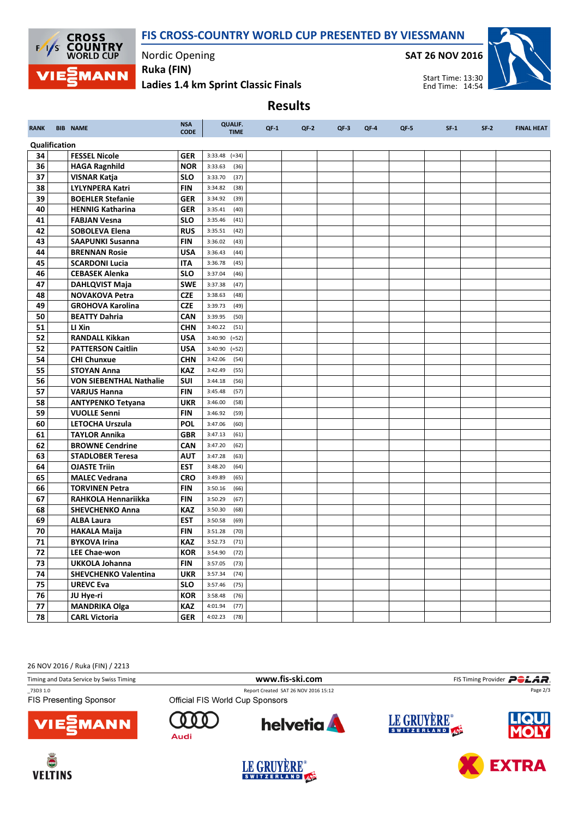# FIS CROSS-COUNTRY WORLD CUP PRESENTED BY VIESSMANN



Nordic Opening Ruka (FIN)

 $\blacksquare$ 

SAT 26 NOV 2016





Ladies 1.4 km Sprint Classic Finals

Results

| <b>RANK</b>   |  | <b>BIB NAME</b>                             | <b>NSA</b><br><b>CODE</b> | <b>QUALIF.</b><br><b>TIME</b>      | $QF-1$ | $QF-2$ | $QF-3$ | $QF-4$ | $QF-5$ | $SF-1$ | $SF-2$ | <b>FINAL HEAT</b> |
|---------------|--|---------------------------------------------|---------------------------|------------------------------------|--------|--------|--------|--------|--------|--------|--------|-------------------|
| Qualification |  |                                             |                           |                                    |        |        |        |        |        |        |        |                   |
| 34            |  | <b>FESSEL Nicole</b>                        | <b>GER</b>                | $3:33.48$ (=34)                    |        |        |        |        |        |        |        |                   |
| 36            |  | <b>HAGA Ragnhild</b>                        | <b>NOR</b>                | 3:33.63<br>(36)                    |        |        |        |        |        |        |        |                   |
| 37            |  | <b>VISNAR Katja</b>                         | <b>SLO</b>                | 3:33.70<br>(37)                    |        |        |        |        |        |        |        |                   |
| 38            |  | <b>LYLYNPERA Katri</b>                      | <b>FIN</b>                | 3:34.82<br>(38)                    |        |        |        |        |        |        |        |                   |
| 39            |  | <b>BOEHLER Stefanie</b>                     | <b>GER</b>                | 3:34.92<br>(39)                    |        |        |        |        |        |        |        |                   |
| 40            |  | <b>HENNIG Katharina</b>                     | <b>GER</b>                | 3:35.41<br>(40)                    |        |        |        |        |        |        |        |                   |
| 41            |  | <b>FABJAN Vesna</b>                         | <b>SLO</b>                | 3:35.46<br>(41)                    |        |        |        |        |        |        |        |                   |
| 42            |  | <b>SOBOLEVA Elena</b>                       | <b>RUS</b>                | 3:35.51<br>(42)                    |        |        |        |        |        |        |        |                   |
| 43            |  | <b>SAAPUNKI Susanna</b>                     | <b>FIN</b>                | 3:36.02<br>(43)                    |        |        |        |        |        |        |        |                   |
| 44            |  | <b>BRENNAN Rosie</b>                        | <b>USA</b>                | 3:36.43<br>(44)                    |        |        |        |        |        |        |        |                   |
| 45            |  | <b>SCARDONI Lucia</b>                       | <b>ITA</b>                | 3:36.78<br>(45)                    |        |        |        |        |        |        |        |                   |
| 46            |  | <b>CEBASEK Alenka</b>                       | <b>SLO</b>                | 3:37.04<br>(46)                    |        |        |        |        |        |        |        |                   |
| 47            |  | <b>DAHLQVIST Maja</b>                       | <b>SWE</b>                | 3:37.38<br>(47)                    |        |        |        |        |        |        |        |                   |
| 48            |  | <b>NOVAKOVA Petra</b>                       | <b>CZE</b>                | 3:38.63<br>(48)                    |        |        |        |        |        |        |        |                   |
| 49            |  | <b>GROHOVA Karolina</b>                     | <b>CZE</b>                | 3:39.73<br>(49)                    |        |        |        |        |        |        |        |                   |
| 50            |  | <b>BEATTY Dahria</b>                        | <b>CAN</b>                | 3:39.95<br>(50)                    |        |        |        |        |        |        |        |                   |
| 51            |  | LI Xin                                      | <b>CHN</b>                | 3:40.22<br>(51)                    |        |        |        |        |        |        |        |                   |
| 52            |  | <b>RANDALL Kikkan</b>                       | <b>USA</b>                | 3:40.90<br>$( = 52)$               |        |        |        |        |        |        |        |                   |
| 52            |  | <b>PATTERSON Caitlin</b>                    | <b>USA</b>                | $3:40.90$ (=52)                    |        |        |        |        |        |        |        |                   |
| 54            |  | <b>CHI Chunxue</b>                          | <b>CHN</b>                | 3:42.06<br>(54)                    |        |        |        |        |        |        |        |                   |
| 55            |  | <b>STOYAN Anna</b>                          | <b>KAZ</b>                | 3:42.49<br>(55)                    |        |        |        |        |        |        |        |                   |
| 56            |  | <b>VON SIEBENTHAL Nathalie</b>              | SUI                       | 3:44.18<br>(56)                    |        |        |        |        |        |        |        |                   |
| 57            |  | <b>VARJUS Hanna</b>                         | <b>FIN</b>                | 3:45.48<br>(57)                    |        |        |        |        |        |        |        |                   |
| 58            |  | <b>ANTYPENKO Tetyana</b>                    | <b>UKR</b>                | 3:46.00<br>(58)                    |        |        |        |        |        |        |        |                   |
| 59            |  | <b>VUOLLE Senni</b>                         | <b>FIN</b>                | 3:46.92<br>(59)                    |        |        |        |        |        |        |        |                   |
| 60            |  | <b>LETOCHA Urszula</b>                      | <b>POL</b>                | 3:47.06<br>(60)                    |        |        |        |        |        |        |        |                   |
| 61            |  | <b>TAYLOR Annika</b>                        | <b>GBR</b>                | 3:47.13<br>(61)                    |        |        |        |        |        |        |        |                   |
| 62            |  | <b>BROWNE Cendrine</b>                      | CAN                       | 3:47.20<br>(62)                    |        |        |        |        |        |        |        |                   |
| 63<br>64      |  | <b>STADLOBER Teresa</b>                     | <b>AUT</b>                | 3:47.28<br>(63)                    |        |        |        |        |        |        |        |                   |
| 65            |  | <b>OJASTE Triin</b><br><b>MALEC Vedrana</b> | <b>EST</b>                | 3:48.20<br>(64)<br>3:49.89<br>(65) |        |        |        |        |        |        |        |                   |
| 66            |  | <b>TORVINEN Petra</b>                       | <b>CRO</b><br><b>FIN</b>  | 3:50.16<br>(66)                    |        |        |        |        |        |        |        |                   |
| 67            |  | <b>RAHKOLA Hennariikka</b>                  | <b>FIN</b>                | 3:50.29<br>(67)                    |        |        |        |        |        |        |        |                   |
| 68            |  | <b>SHEVCHENKO Anna</b>                      | <b>KAZ</b>                | 3:50.30<br>(68)                    |        |        |        |        |        |        |        |                   |
| 69            |  | <b>ALBA Laura</b>                           | <b>EST</b>                | 3:50.58<br>(69)                    |        |        |        |        |        |        |        |                   |
| 70            |  | <b>HAKALA Maija</b>                         | <b>FIN</b>                | 3:51.28<br>(70)                    |        |        |        |        |        |        |        |                   |
| 71            |  | <b>BYKOVA Irina</b>                         | <b>KAZ</b>                | 3:52.73<br>(71)                    |        |        |        |        |        |        |        |                   |
| 72            |  | <b>LEE Chae-won</b>                         | <b>KOR</b>                | 3:54.90<br>(72)                    |        |        |        |        |        |        |        |                   |
| 73            |  | <b>UKKOLA Johanna</b>                       | <b>FIN</b>                | 3:57.05<br>(73)                    |        |        |        |        |        |        |        |                   |
| 74            |  | <b>SHEVCHENKO Valentina</b>                 | <b>UKR</b>                | 3:57.34<br>(74)                    |        |        |        |        |        |        |        |                   |
| 75            |  | <b>UREVC Eva</b>                            | <b>SLO</b>                | 3:57.46<br>(75)                    |        |        |        |        |        |        |        |                   |
| 76            |  | JU Hye-ri                                   | <b>KOR</b>                | 3:58.48<br>(76)                    |        |        |        |        |        |        |        |                   |
| 77            |  | <b>MANDRIKA Olga</b>                        | <b>KAZ</b>                | 4:01.94<br>(77)                    |        |        |        |        |        |        |        |                   |
| 78            |  | <b>CARL Victoria</b>                        | <b>GER</b>                | 4:02.23<br>(78)                    |        |        |        |        |        |        |        |                   |
|               |  |                                             |                           |                                    |        |        |        |        |        |        |        |                   |

26 NOV 2016 / Ruka (FIN) / 2213

Timing and Data Service by Swiss Timing **WWW.fis-Ski.com WWW.fis-Ski.com** FIS Timing Provider PCLAR. \_73D3 1.0 Report Created SAT 26 NOV 2016 15:12 Page 2/3**FIS Presenting Sponsor** LE GRUYÈRE® **helvetia**  $\bf{0}$  $\Omega$ n **1ANN** Audi